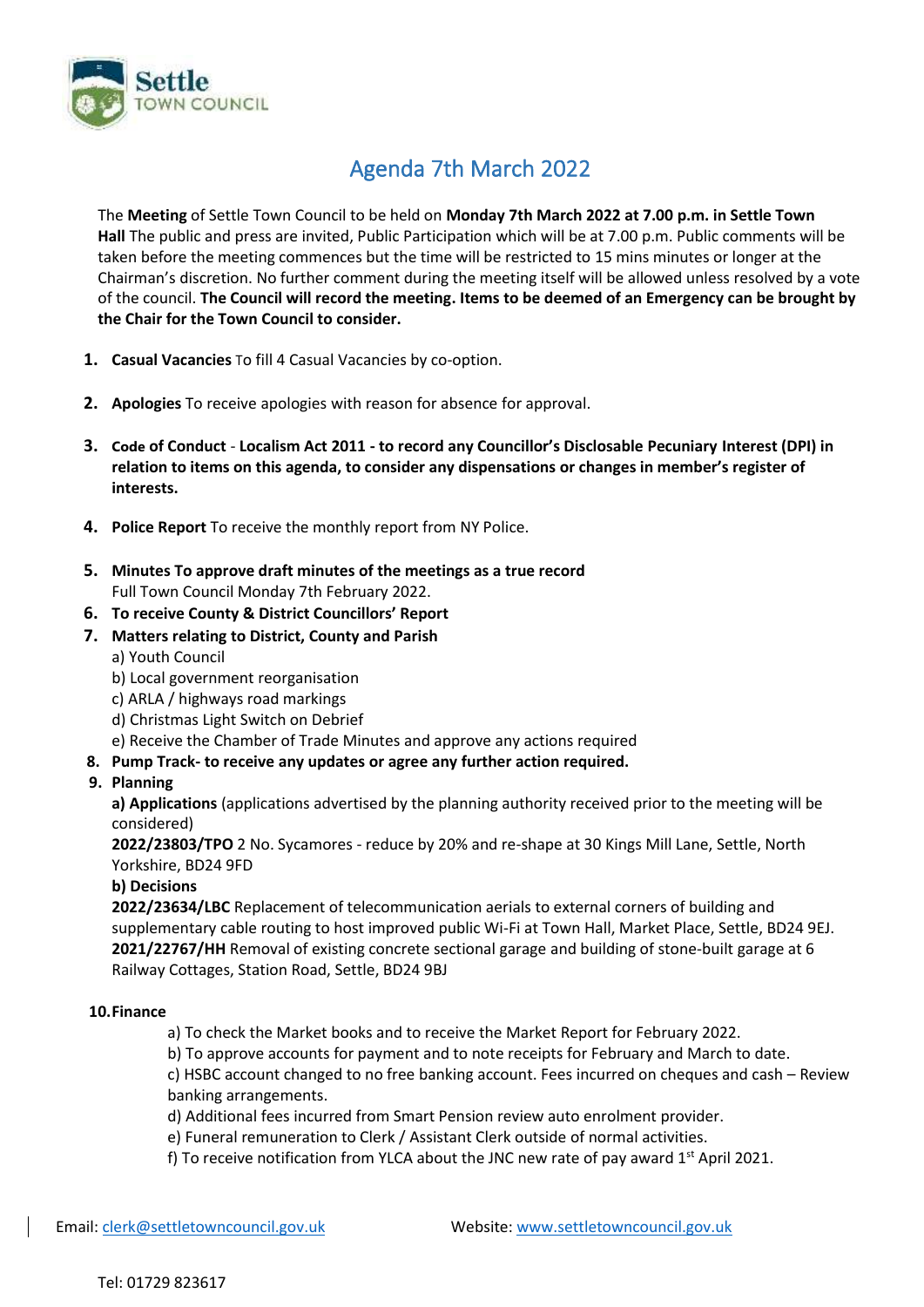

## Agenda 7th March 2022

The **Meeting** of Settle Town Council to be held on **Monday 7th March 2022 at 7.00 p.m. in Settle Town Hall** The public and press are invited, Public Participation which will be at 7.00 p.m. Public comments will be taken before the meeting commences but the time will be restricted to 15 mins minutes or longer at the Chairman's discretion. No further comment during the meeting itself will be allowed unless resolved by a vote of the council. **The Council will record the meeting. Items to be deemed of an Emergency can be brought by the Chair for the Town Council to consider.**

- **1. Casual Vacancies** To fill 4 Casual Vacancies by co-option.
- **2. Apologies** To receive apologies with reason for absence for approval.
- **3. Code of Conduct Localism Act 2011 - to record any Councillor's Disclosable Pecuniary Interest (DPI) in relation to items on this agenda, to consider any dispensations or changes in member's register of interests.**
- **4. Police Report** To receive the monthly report from NY Police.
- **5. Minutes To approve draft minutes of the meetings as a true record**  Full Town Council Monday 7th February 2022.
- **6. To receive County & District Councillors' Report**
- **7. Matters relating to District, County and Parish**
	- a) Youth Council
	- b) Local government reorganisation
	- c) ARLA / highways road markings
	- d) Christmas Light Switch on Debrief
	- e) Receive the Chamber of Trade Minutes and approve any actions required

### **8. Pump Track- to receive any updates or agree any further action required.**

**9. Planning**

**a) Applications** (applications advertised by the planning authority received prior to the meeting will be considered)

**2022/23803/TPO** 2 No. Sycamores - reduce by 20% and re-shape at 30 Kings Mill Lane, Settle, North Yorkshire, BD24 9FD

#### **b) Decisions**

**2022/23634/LBC** Replacement of telecommunication aerials to external corners of building and supplementary cable routing to host improved public Wi-Fi at Town Hall, Market Place, Settle, BD24 9EJ. **2021/22767/HH** Removal of existing concrete sectional garage and building of stone-built garage at 6 Railway Cottages, Station Road, Settle, BD24 9BJ

#### **10.Finance**

a) To check the Market books and to receive the Market Report for February 2022.

b) To approve accounts for payment and to note receipts for February and March to date.

c) HSBC account changed to no free banking account. Fees incurred on cheques and cash – Review banking arrangements.

d) Additional fees incurred from Smart Pension review auto enrolment provider.

- e) Funeral remuneration to Clerk / Assistant Clerk outside of normal activities.
- f) To receive notification from YLCA about the JNC new rate of pay award  $1<sup>st</sup>$  April 2021.